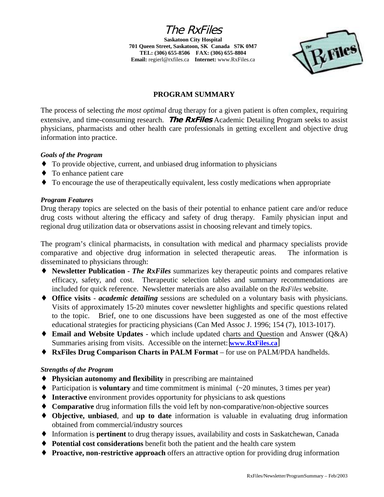The RxFiles **Saskatoon City Hospital**

**701 Queen Street, Saskatoon, SK Canada S7K 0M7 TEL: (306) 655-8506 FAX: (306) 655-8804 Email:** regierl@rxfiles.ca **Internet:** www.RxFiles.ca



## **PROGRAM SUMMARY**

The process of selecting *the most optimal* drug therapy for a given patient is often complex, requiring extensive, and time-consuming research. **The RxFiles** Academic Detailing Program seeks to assist physicians, pharmacists and other health care professionals in getting excellent and objective drug information into practice.

### *Goals of the Program*

- ♦ To provide objective, current, and unbiased drug information to physicians
- ♦ To enhance patient care
- ♦ To encourage the use of therapeutically equivalent, less costly medications when appropriate

## *Program Features*

Drug therapy topics are selected on the basis of their potential to enhance patient care and/or reduce drug costs without altering the efficacy and safety of drug therapy. Family physician input and regional drug utilization data or observations assist in choosing relevant and timely topics.

The program's clinical pharmacists, in consultation with medical and pharmacy specialists provide comparative and objective drug information in selected therapeutic areas. The information is disseminated to physicians through:

- ♦ **Newsletter Publication** *The RxFiles* summarizes key therapeutic points and compares relative efficacy, safety, and cost. Therapeutic selection tables and summary recommendations are included for quick reference. Newsletter materials are also available on the *RxFiles* website.
- ♦ **Office visits**  *academic detailing* sessions are scheduled on a voluntary basis with physicians. Visits of approximately 15-20 minutes cover newsletter highlights and specific questions related to the topic. Brief, one to one discussions have been suggested as one of the most effective educational strategies for practicing physicians (Can Med Assoc J. 1996; 154 (7), 1013-1017).
- ♦ **Email and Website Updates** which include updated charts and Question and Answer (Q&A) Summaries arising from visits. Accessible on the internet: **[www.RxFiles.ca](http://www.rxfiles.ca/)**
- ♦ **RxFiles Drug Comparison Charts in PALM Format**  for use on PALM/PDA handhelds.

## *Strengths of the Program*

- ♦ **Physician autonomy and flexibility** in prescribing are maintained
- $\blacklozenge$  Participation is **voluntary** and time commitment is minimal  $(\sim 20 \text{ minutes}, 3 \text{ times per year})$
- ♦ **Interactive** environment provides opportunity for physicians to ask questions
- ♦ **Comparative** drug information fills the void left by non-comparative/non-objective sources
- ♦ **Objective, unbiased**, and **up to date** information is valuable in evaluating drug information obtained from commercial/industry sources
- ♦ Information is **pertinent** to drug therapy issues, availability and costs in Saskatchewan, Canada
- ♦ **Potential cost considerations** benefit both the patient and the health care system
- ♦ **Proactive, non-restrictive approach** offers an attractive option for providing drug information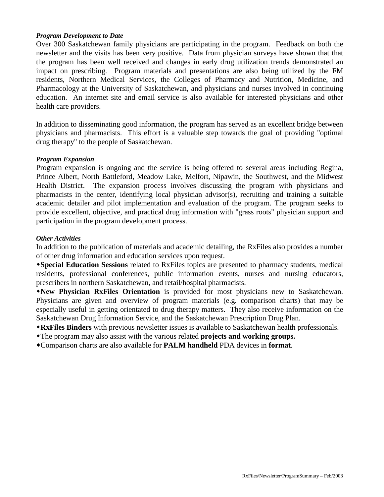#### *Program Development to Date*

Over 300 Saskatchewan family physicians are participating in the program. Feedback on both the newsletter and the visits has been very positive. Data from physician surveys have shown that that the program has been well received and changes in early drug utilization trends demonstrated an impact on prescribing. Program materials and presentations are also being utilized by the FM residents, Northern Medical Services, the Colleges of Pharmacy and Nutrition, Medicine, and Pharmacology at the University of Saskatchewan, and physicians and nurses involved in continuing education. An internet site and email service is also available for interested physicians and other health care providers.

In addition to disseminating good information, the program has served as an excellent bridge between physicians and pharmacists. This effort is a valuable step towards the goal of providing "optimal drug therapy" to the people of Saskatchewan.

#### *Program Expansion*

Program expansion is ongoing and the service is being offered to several areas including Regina, Prince Albert, North Battleford, Meadow Lake, Melfort, Nipawin, the Southwest, and the Midwest Health District. The expansion process involves discussing the program with physicians and pharmacists in the center, identifying local physician advisor(s), recruiting and training a suitable academic detailer and pilot implementation and evaluation of the program. The program seeks to provide excellent, objective, and practical drug information with "grass roots" physician support and participation in the program development process.

#### *Other Activities*

In addition to the publication of materials and academic detailing, the RxFiles also provides a number of other drug information and education services upon request.

**Special Education Sessions** related to RxFiles topics are presented to pharmacy students, medical residents, professional conferences, public information events, nurses and nursing educators, prescribers in northern Saskatchewan, and retail/hospital pharmacists.

**New Physician RxFiles Orientation** is provided for most physicians new to Saskatchewan. Physicians are given and overview of program materials (e.g. comparison charts) that may be especially useful in getting orientated to drug therapy matters. They also receive information on the Saskatchewan Drug Information Service, and the Saskatchewan Prescription Drug Plan.

**RxFiles Binders** with previous newsletter issues is available to Saskatchewan health professionals.

The program may also assist with the various related **projects and working groups.**

Comparison charts are also available for **PALM handheld** PDA devices in **format**.